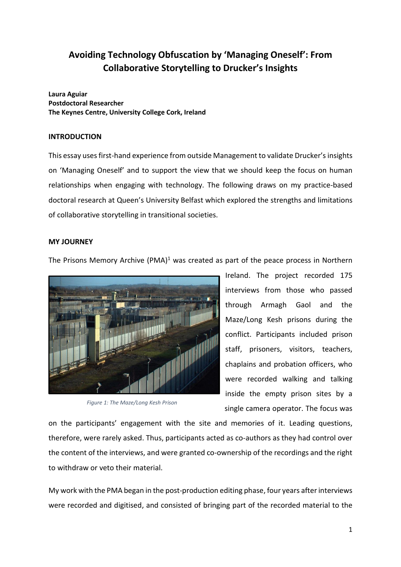# **Avoiding Technology Obfuscation by 'Managing Oneself': From Collaborative Storytelling to Drucker's Insights**

**Laura Aguiar Postdoctoral Researcher The Keynes Centre, University College Cork, Ireland**

# **INTRODUCTION**

This essay usesfirst-hand experience from outside Management to validate Drucker's insights on 'Managing Oneself' and to support the view that we should keep the focus on human relationships when engaging with technology. The following draws on my practice-based doctoral research at Queen's University Belfast which explored the strengths and limitations of collaborative storytelling in transitional societies.

### **MY JOURNEY**

The Prisons Memory Archive  $(PMA)^1$  was created as part of the peace process in Northern



*Figure 1: The Maze/Long Kesh Prison*

Ireland. The project recorded 175 interviews from those who passed through Armagh Gaol and the Maze/Long Kesh prisons during the conflict. Participants included prison staff, prisoners, visitors, teachers, chaplains and probation officers, who were recorded walking and talking inside the empty prison sites by a single camera operator. The focus was

on the participants' engagement with the site and memories of it. Leading questions, therefore, were rarely asked. Thus, participants acted as co-authors as they had control over the content of the interviews, and were granted co-ownership of the recordings and the right to withdraw or veto their material.

My work with the PMA began in the post-production editing phase, four years after interviews were recorded and digitised, and consisted of bringing part of the recorded material to the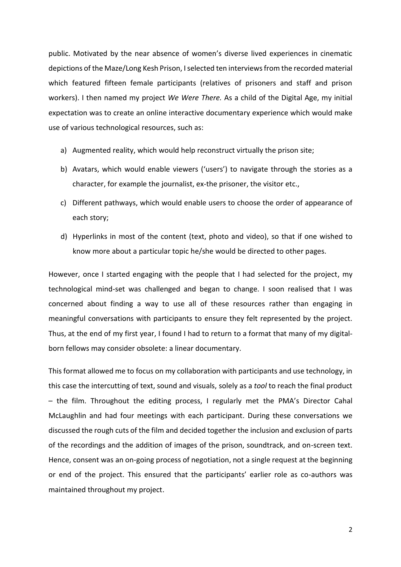public. Motivated by the near absence of women's diverse lived experiences in cinematic depictions of the Maze/Long Kesh Prison, I selected ten interviews from the recorded material which featured fifteen female participants (relatives of prisoners and staff and prison workers). I then named my project *We Were There.* As a child of the Digital Age, my initial expectation was to create an online interactive documentary experience which would make use of various technological resources, such as:

- a) Augmented reality, which would help reconstruct virtually the prison site;
- b) Avatars, which would enable viewers ('users') to navigate through the stories as a character, for example the journalist, ex-the prisoner, the visitor etc.,
- c) Different pathways, which would enable users to choose the order of appearance of each story;
- d) Hyperlinks in most of the content (text, photo and video), so that if one wished to know more about a particular topic he/she would be directed to other pages.

However, once I started engaging with the people that I had selected for the project, my technological mind-set was challenged and began to change. I soon realised that I was concerned about finding a way to use all of these resources rather than engaging in meaningful conversations with participants to ensure they felt represented by the project. Thus, at the end of my first year, I found I had to return to a format that many of my digitalborn fellows may consider obsolete: a linear documentary.

This format allowed me to focus on my collaboration with participants and use technology, in this case the intercutting of text, sound and visuals, solely as a *tool* to reach the final product – the film. Throughout the editing process, I regularly met the PMA's Director Cahal McLaughlin and had four meetings with each participant. During these conversations we discussed the rough cuts of the film and decided together the inclusion and exclusion of parts of the recordings and the addition of images of the prison, soundtrack, and on-screen text. Hence, consent was an on-going process of negotiation, not a single request at the beginning or end of the project. This ensured that the participants' earlier role as co-authors was maintained throughout my project.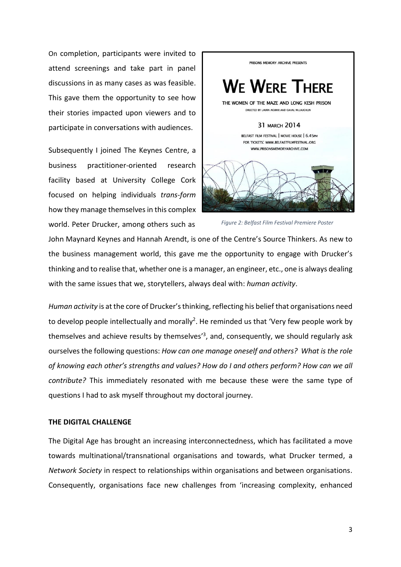On completion, participants were invited to attend screenings and take part in panel discussions in as many cases as was feasible. This gave them the opportunity to see how their stories impacted upon viewers and to participate in conversations with audiences.

Subsequently I joined The Keynes Centre, a business practitioner-oriented research facility based at University College Cork focused on helping individuals *trans*-*form*  how they manage themselves in this complex world. Peter Drucker, among others such as



*Figure 2: Belfast Film Festival Premiere Poster*

John Maynard Keynes and Hannah Arendt, is one of the Centre's Source Thinkers. As new to the business management world, this gave me the opportunity to engage with Drucker's thinking and to realise that, whether one is a manager, an engineer, etc., one is always dealing with the same issues that we, storytellers, always deal with: *human activity*.

*Human activity* is at the core of Drucker's thinking, reflecting his belief that organisations need to develop people intellectually and morally<sup>2</sup>. He reminded us that 'Very few people work by themselves and achieve results by themselves<sup>'3</sup>, and, consequently, we should regularly ask ourselves the following questions: *How can one manage oneself and others? What is the role of knowing each other's strengths and values? How do I and others perform? How can we all contribute?* This immediately resonated with me because these were the same type of questions I had to ask myself throughout my doctoral journey.

#### **THE DIGITAL CHALLENGE**

The Digital Age has brought an increasing interconnectedness, which has facilitated a move towards multinational/transnational organisations and towards, what Drucker termed, a *Network Society* in respect to relationships within organisations and between organisations. Consequently, organisations face new challenges from 'increasing complexity, enhanced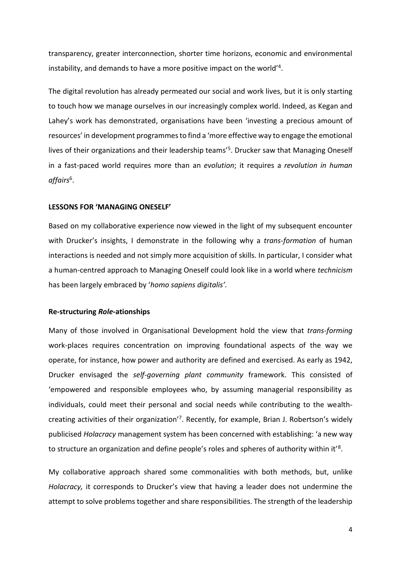transparency, greater interconnection, shorter time horizons, economic and environmental instability, and demands to have a more positive impact on the world'<sup>4</sup>.

The digital revolution has already permeated our social and work lives, but it is only starting to touch how we manage ourselves in our increasingly complex world. Indeed, as Kegan and Lahey's work has demonstrated, organisations have been 'investing a precious amount of resources' in development programmes to find a 'more effective way to engage the emotional lives of their organizations and their leadership teams<sup>'5</sup>. Drucker saw that Managing Oneself in a fast-paced world requires more than an *evolution*; it requires a *revolution in human affairs*<sup>6</sup> .

#### **LESSONS FOR 'MANAGING ONESELF'**

Based on my collaborative experience now viewed in the light of my subsequent encounter with Drucker's insights, I demonstrate in the following why a *trans-formation* of human interactions is needed and not simply more acquisition of skills. In particular, I consider what a human-centred approach to Managing Oneself could look like in a world where *technicism* has been largely embraced by '*homo sapiens digitalis'.*

#### **Re-structuring** *Role***-ationships**

Many of those involved in Organisational Development hold the view that *trans-forming* work-places requires concentration on improving foundational aspects of the way we operate, for instance, how power and authority are defined and exercised. As early as 1942, Drucker envisaged the *self-governing plant community* framework. This consisted of 'empowered and responsible employees who, by assuming managerial responsibility as individuals, could meet their personal and social needs while contributing to the wealthcreating activities of their organization<sup>'7</sup>. Recently, for example, Brian J. Robertson's widely publicised *Holacracy* management system has been concerned with establishing: 'a new way to structure an organization and define people's roles and spheres of authority within it'<sup>8</sup>.

My collaborative approach shared some commonalities with both methods, but, unlike *Holacracy,* it corresponds to Drucker's view that having a leader does not undermine the attempt to solve problems together and share responsibilities. The strength of the leadership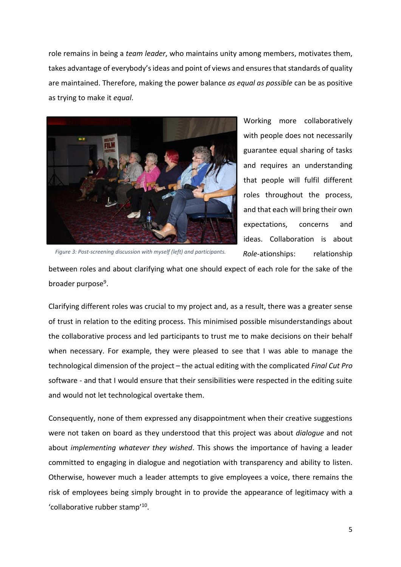role remains in being a *team leader*, who maintains unity among members, motivates them, takes advantage of everybody's ideas and point of views and ensuresthat standards of quality are maintained. Therefore, making the power balance *as equal as possible* can be as positive as trying to make it *equal*.



Working more collaboratively with people does not necessarily guarantee equal sharing of tasks and requires an understanding that people will fulfil different roles throughout the process, and that each will bring their own expectations, concerns and ideas. Collaboration is about *Role-*ationships: relationship

*Figure 3: Post-screening discussion with myself (left) and participants.*

between roles and about clarifying what one should expect of each role for the sake of the broader purpose<sup>9</sup>.

Clarifying different roles was crucial to my project and, as a result, there was a greater sense of trust in relation to the editing process. This minimised possible misunderstandings about the collaborative process and led participants to trust me to make decisions on their behalf when necessary. For example, they were pleased to see that I was able to manage the technological dimension of the project – the actual editing with the complicated *Final Cut Pro* software - and that I would ensure that their sensibilities were respected in the editing suite and would not let technological overtake them.

Consequently, none of them expressed any disappointment when their creative suggestions were not taken on board as they understood that this project was about *dialogue* and not about *implementing whatever they wished*. This shows the importance of having a leader committed to engaging in dialogue and negotiation with transparency and ability to listen. Otherwise, however much a leader attempts to give employees a voice, there remains the risk of employees being simply brought in to provide the appearance of legitimacy with a 'collaborative rubber stamp'<sup>10</sup>.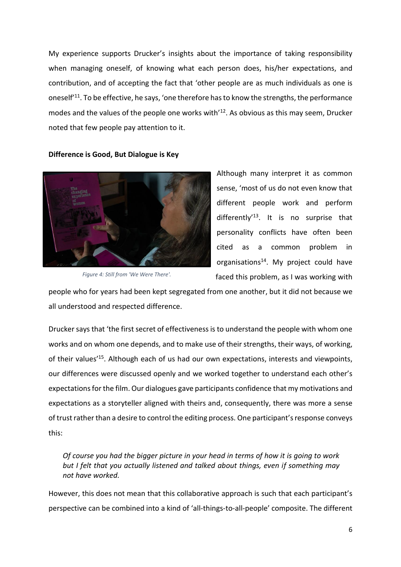My experience supports Drucker's insights about the importance of taking responsibility when managing oneself, of knowing what each person does, his/her expectations, and contribution, and of accepting the fact that 'other people are as much individuals as one is oneself'<sup>11</sup>. To be effective, he says, 'one therefore has to know the strengths, the performance modes and the values of the people one works with<sup>'12</sup>. As obvious as this may seem, Drucker noted that few people pay attention to it.



**Difference is Good, But Dialogue is Key**

*Figure 4: Still from 'We Were There'.*

Although many interpret it as common sense, 'most of us do not even know that different people work and perform differently<sup>'13</sup>. It is no surprise that personality conflicts have often been cited as a common problem in organisations<sup>14</sup>. My project could have faced this problem, as I was working with

people who for years had been kept segregated from one another, but it did not because we all understood and respected difference.

Drucker says that 'the first secret of effectiveness is to understand the people with whom one works and on whom one depends, and to make use of their strengths, their ways, of working, of their values<sup>'15</sup>. Although each of us had our own expectations, interests and viewpoints, our differences were discussed openly and we worked together to understand each other's expectations for the film. Our dialogues gave participants confidence that my motivations and expectations as a storyteller aligned with theirs and, consequently, there was more a sense of trust rather than a desire to control the editing process. One participant's response conveys this:

*Of course you had the bigger picture in your head in terms of how it is going to work but I felt that you actually listened and talked about things, even if something may not have worked.* 

However, this does not mean that this collaborative approach is such that each participant's perspective can be combined into a kind of 'all-things-to-all-people' composite. The different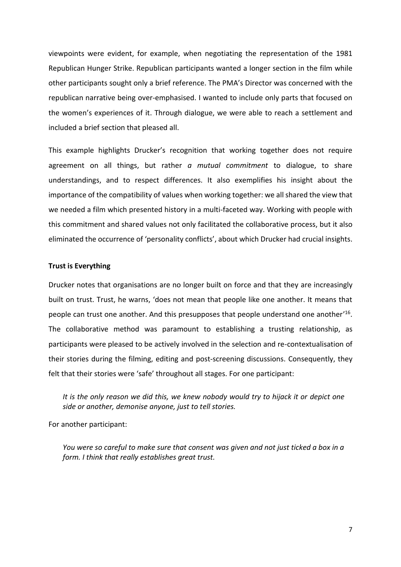viewpoints were evident, for example, when negotiating the representation of the 1981 Republican Hunger Strike. Republican participants wanted a longer section in the film while other participants sought only a brief reference. The PMA's Director was concerned with the republican narrative being over-emphasised. I wanted to include only parts that focused on the women's experiences of it. Through dialogue, we were able to reach a settlement and included a brief section that pleased all.

This example highlights Drucker's recognition that working together does not require agreement on all things, but rather *a mutual commitment* to dialogue, to share understandings, and to respect differences. It also exemplifies his insight about the importance of the compatibility of values when working together: we all shared the view that we needed a film which presented history in a multi-faceted way. Working with people with this commitment and shared values not only facilitated the collaborative process, but it also eliminated the occurrence of 'personality conflicts', about which Drucker had crucial insights.

#### **Trust is Everything**

Drucker notes that organisations are no longer built on force and that they are increasingly built on trust. Trust, he warns, 'does not mean that people like one another. It means that people can trust one another. And this presupposes that people understand one another'<sup>16</sup>. The collaborative method was paramount to establishing a trusting relationship, as participants were pleased to be actively involved in the selection and re-contextualisation of their stories during the filming, editing and post-screening discussions. Consequently, they felt that their stories were 'safe' throughout all stages. For one participant:

*It is the only reason we did this, we knew nobody would try to hijack it or depict one side or another, demonise anyone, just to tell stories.*

For another participant:

*You were so careful to make sure that consent was given and not just ticked a box in a form. I think that really establishes great trust.*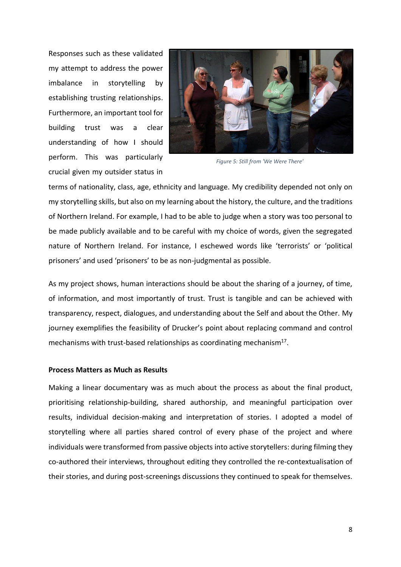Responses such as these validated my attempt to address the power imbalance in storytelling by establishing trusting relationships. Furthermore, an important tool for building trust was a clear understanding of how I should perform. This was particularly crucial given my outsider status in



*Figure 5: Still from 'We Were There'*

terms of nationality, class, age, ethnicity and language. My credibility depended not only on my storytelling skills, but also on my learning about the history, the culture, and the traditions of Northern Ireland. For example, I had to be able to judge when a story was too personal to be made publicly available and to be careful with my choice of words, given the segregated nature of Northern Ireland. For instance, I eschewed words like 'terrorists' or 'political prisoners' and used 'prisoners' to be as non-judgmental as possible.

As my project shows, human interactions should be about the sharing of a journey, of time, of information, and most importantly of trust. Trust is tangible and can be achieved with transparency, respect, dialogues, and understanding about the Self and about the Other. My journey exemplifies the feasibility of Drucker's point about replacing command and control mechanisms with trust-based relationships as coordinating mechanism<sup>17</sup>.

#### **Process Matters as Much as Results**

Making a linear documentary was as much about the process as about the final product, prioritising relationship-building, shared authorship, and meaningful participation over results, individual decision-making and interpretation of stories. I adopted a model of storytelling where all parties shared control of every phase of the project and where individuals were transformed from passive objects into active storytellers: during filming they co-authored their interviews, throughout editing they controlled the re-contextualisation of their stories, and during post-screenings discussions they continued to speak for themselves.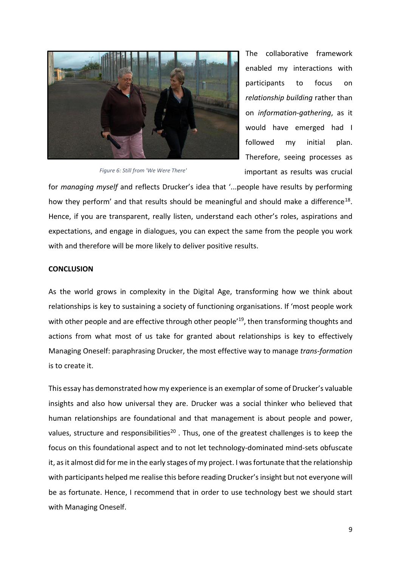

The collaborative framework enabled my interactions with participants to focus on *relationship building* rather than on *information-gathering*, as it would have emerged had I followed my initial plan. Therefore, seeing processes as important as results was crucial

*Figure 6: Still from 'We Were There'*

for *managing myself* and reflects Drucker's idea that '...people have results by performing how they perform' and that results should be meaningful and should make a difference<sup>18</sup>. Hence, if you are transparent, really listen, understand each other's roles, aspirations and expectations, and engage in dialogues, you can expect the same from the people you work with and therefore will be more likely to deliver positive results.

## **CONCLUSION**

As the world grows in complexity in the Digital Age, transforming how we think about relationships is key to sustaining a society of functioning organisations. If 'most people work with other people and are effective through other people<sup>'19</sup>, then transforming thoughts and actions from what most of us take for granted about relationships is key to effectively Managing Oneself: paraphrasing Drucker, the most effective way to manage *trans-formation* is to create it.

This essay has demonstrated how my experience is an exemplar of some of Drucker's valuable insights and also how universal they are. Drucker was a social thinker who believed that human relationships are foundational and that management is about people and power, values, structure and responsibilities<sup>20</sup>. Thus, one of the greatest challenges is to keep the focus on this foundational aspect and to not let technology-dominated mind-sets obfuscate it, as it almost did for me in the early stages of my project. I was fortunate that the relationship with participants helped me realise this before reading Drucker's insight but not everyone will be as fortunate. Hence, I recommend that in order to use technology best we should start with Managing Oneself.